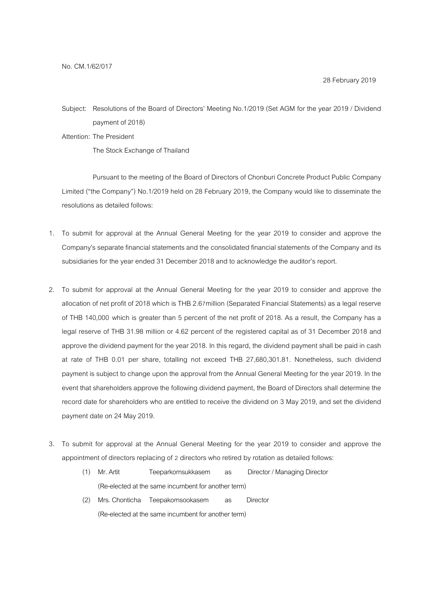Subject: Resolutions of the Board of Directors' Meeting No.1/2019 (Set AGM for the year 2019 / Dividend payment of 2018)

Attention: The President

The Stock Exchange of Thailand

Pursuant to the meeting of the Board of Directors of Chonburi Concrete Product Public Company Limited ("the Company") No.1/2019 held on 28 February 2019, the Company would like to disseminate the resolutions as detailed follows:

- 1. To submit for approval at the Annual General Meeting for the year 2019 to consider and approve the Company's separate financial statements and the consolidated financial statements of the Company and its subsidiaries for the year ended 31 December 2018 and to acknowledge the auditor's report.
- 2. To submit for approval at the Annual General Meeting for the year 2019 to consider and approve the allocation of net profit of 2018 which is THB 2.67 million (Separated Financial Statements) as a legal reserve of THB 140,000 which is greater than 5 percent of the net profit of 2018. As a result, the Company has a legal reserve of THB 31.98 million or 4.62 percent of the registered capital as of 31 December 2018 and approve the dividend payment for the year 2018. In this regard, the dividend payment shall be paid in cash at rate of THB 0.01 per share, totalling not exceed THB 27,680,301.81. Nonetheless, such dividend payment is subject to change upon the approval from the Annual General Meeting for the year 2019. In the event that shareholders approve the following dividend payment, the Board of Directors shall determine the record date for shareholders who are entitled to receive the dividend on 3 May 2019, and set the dividend payment date on 24 May 2019.
- 3. To submit for approval at the Annual General Meeting for the year 2019 to consider and approve the appointment of directors replacing of 2 directors who retired by rotation as detailed follows:
	- (1) Mr. Artit Teeparkornsukkasem as Director / Managing Director (Re-elected at the same incumbent for another term)
	- (2) Mrs. Chonticha Teepakornsookasem as Director (Re-elected at the same incumbent for another term)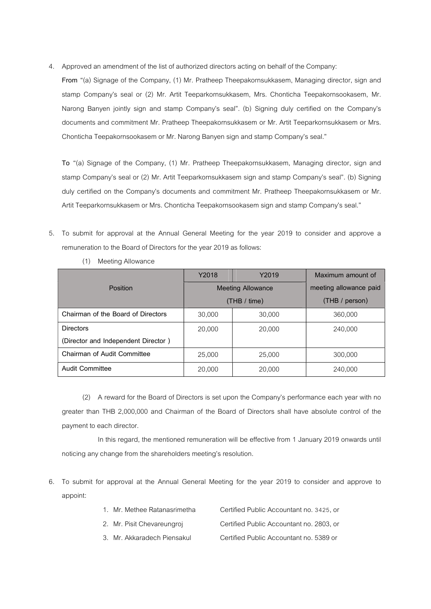4. Approved an amendment of the list of authorized directors acting on behalf of the Company:

From "(a) Signage of the Company, (1) Mr. Pratheep Theepakornsukkasem, Managing director, sign and stamp Company's seal or (2) Mr. Artit Teeparkornsukkasem, Mrs. Chonticha Teepakornsookasem, Mr. Narong Banyen jointly sign and stamp Company's seal". (b) Signing duly certified on the Company's documents and commitment Mr. Pratheep Theepakornsukkasem or Mr. Artit Teeparkornsukkasem or Mrs. Chonticha Teepakornsookasem or Mr. Narong Banyen sign and stamp Company's seal."

To "(a) Signage of the Company, (1) Mr. Pratheep Theepakornsukkasem, Managing director, sign and stamp Company's seal or (2) Mr. Artit Teeparkornsukkasem sign and stamp Company's seal". (b) Signing duly certified on the Company's documents and commitment Mr. Pratheep Theepakornsukkasem or Mr. Artit Teeparkornsukkasem or Mrs. Chonticha Teepakornsookasem sign and stamp Company's seal."

5. To submit for approval at the Annual General Meeting for the year 2019 to consider and approve a remuneration to the Board of Directors for the year 2019 as follows:

|                                     | Y2018                    | Y2019  | Maximum amount of      |
|-------------------------------------|--------------------------|--------|------------------------|
| Position                            | <b>Meeting Allowance</b> |        | meeting allowance paid |
|                                     | (THB / time)             |        | (THB / person)         |
| Chairman of the Board of Directors  | 30,000                   | 30,000 | 360,000                |
| <b>Directors</b>                    | 20,000                   | 20,000 | 240,000                |
| (Director and Independent Director) |                          |        |                        |
| Chairman of Audit Committee         | 25,000                   | 25,000 | 300,000                |
| <b>Audit Committee</b>              | 20,000                   | 20,000 | 240,000                |

(1) Meeting Allowance

(2) A reward for the Board of Directors is set upon the Company's performance each year with no greater than THB 2,000,000 and Chairman of the Board of Directors shall have absolute control of the payment to each director.

In this regard, the mentioned remuneration will be effective from 1 January 2019 onwards until noticing any change from the shareholders meeting's resolution.

6. To submit for approval at the Annual General Meeting for the year 2019 to consider and approve to appoint:

| 1. Mr. Methee Ratanasrimetha | Certified Public Accountant no. 3425, or |
|------------------------------|------------------------------------------|
| 2. Mr. Pisit Chevareungroj   | Certified Public Accountant no. 2803. or |
| 3. Mr. Akkaradech Piensakul. | Certified Public Accountant no. 5389 or  |